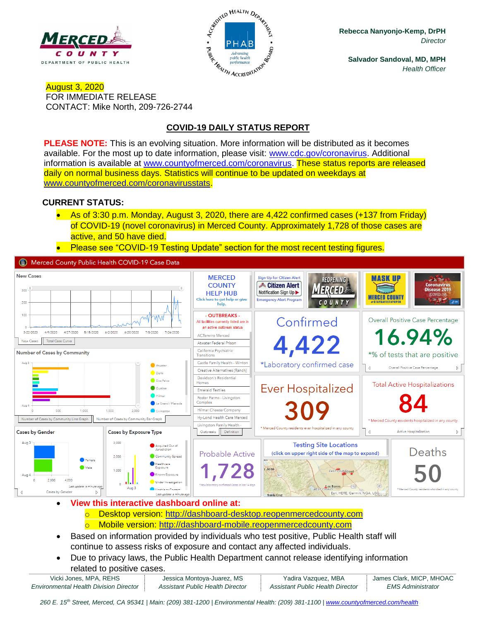



**Rebecca Nanyonjo-Kemp, DrPH** *Director*

**Salvador Sandoval, MD, MPH** *Health Officer*

#### August 3, 2020 FOR IMMEDIATE RELEASE CONTACT: Mike North, 209-726-2744

# **COVID-19 DAILY STATUS REPORT**

**PLEASE NOTE:** This is an evolving situation. More information will be distributed as it becomes available. For the most up to date information, please visit: [www.cdc.gov/coronavirus.](http://www.cdc.gov/coronavirus) Additional information is available at [www.countyofmerced.com/coronavirus.](http://www.countyofmerced.com/coronavirus) These status reports are released daily on normal business days. Statistics will continue to be updated on weekdays at [www.countyofmerced.com/coronavirusstats.](http://www.countyofmerced.com/coronavirusstats)

### **CURRENT STATUS:**

- As of 3:30 p.m. Monday, August 3, 2020, there are 4,422 confirmed cases (+137 from Friday) of COVID-19 (novel coronavirus) in Merced County. Approximately 1,728 of those cases are active, and 50 have died.
- Please see "COVID-19 Testing Update" section for the most recent testing figures.

Merced County Public Health COVID-19 Case Data



- **View this interactive dashboard online at:** o Desktop version: [http://dashboard-desktop.reopenmercedcounty.com](http://dashboard-desktop.reopenmercedcounty.com/) o Mobile version: [http://dashboard-mobile.reopenmercedcounty.com](http://dashboard-mobile.reopenmercedcounty.com/)
- Based on information provided by individuals who test positive, Public Health staff will continue to assess risks of exposure and contact any affected individuals.
- Due to privacy laws, the Public Health Department cannot release identifying information related to positive cases.

| Vicki Jones, MPA, REHS                        | Jessica Montoya-Juarez, MS       |
|-----------------------------------------------|----------------------------------|
| <b>Environmental Health Division Director</b> | Assistant Public Health Director |

260 E. 15<sup>th</sup> Street, Merced, CA 95341 | Main: (209) 381-1200 | Environmental Health: (209) 381-1100 | [www.countyofmerced.com/health](http://www.countyofmerced.com/health)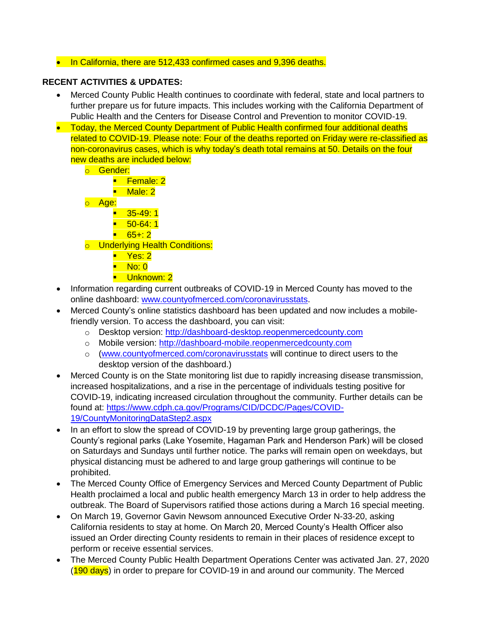### • In California, there are 512,433 confirmed cases and 9,396 deaths.

## **RECENT ACTIVITIES & UPDATES:**

- Merced County Public Health continues to coordinate with federal, state and local partners to further prepare us for future impacts. This includes working with the California Department of Public Health and the Centers for Disease Control and Prevention to monitor COVID-19.
- Today, the Merced County Department of Public Health confirmed four additional deaths related to COVID-19. Please note: Four of the deaths reported on Friday were re-classified as non-coronavirus cases, which is why today's death total remains at 50. Details on the four new deaths are included below:
	- o Gender:
		- Female: 2
		- Male: 2
	- o Age:
		- 35-49:1
		- $\blacksquare$  50-64:1
		- $-65+2$
	- o Underlying Health Conditions:
		- Yes: 2
		- $\blacksquare$  No: 0
		- **·** Unknown: 2
- Information regarding current outbreaks of COVID-19 in Merced County has moved to the online dashboard: [www.countyofmerced.com/coronavirusstats.](http://www.countyofmerced.com/coronavirusstats)
- Merced County's online statistics dashboard has been updated and now includes a mobilefriendly version. To access the dashboard, you can visit:
	- o Desktop version: [http://dashboard-desktop.reopenmercedcounty.com](http://dashboard-desktop.reopenmercedcounty.com/)
	- o Mobile version: [http://dashboard-mobile.reopenmercedcounty.com](http://dashboard-mobile.reopenmercedcounty.com/)
	- o [\(www.countyofmerced.com/coronavirusstats](http://www.countyofmerced.com/coronavirusstats) will continue to direct users to the desktop version of the dashboard.)
- Merced County is on the State monitoring list due to rapidly increasing disease transmission, increased hospitalizations, and a rise in the percentage of individuals testing positive for COVID-19, indicating increased circulation throughout the community. Further details can be found at: [https://www.cdph.ca.gov/Programs/CID/DCDC/Pages/COVID-](https://www.cdph.ca.gov/Programs/CID/DCDC/Pages/COVID-19/CountyMonitoringDataStep2.aspx)[19/CountyMonitoringDataStep2.aspx](https://www.cdph.ca.gov/Programs/CID/DCDC/Pages/COVID-19/CountyMonitoringDataStep2.aspx)
- In an effort to slow the spread of COVID-19 by preventing large group gatherings, the County's regional parks (Lake Yosemite, Hagaman Park and Henderson Park) will be closed on Saturdays and Sundays until further notice. The parks will remain open on weekdays, but physical distancing must be adhered to and large group gatherings will continue to be prohibited.
- The Merced County Office of Emergency Services and Merced County Department of Public Health proclaimed a local and public health emergency March 13 in order to help address the outbreak. The Board of Supervisors ratified those actions during a March 16 special meeting.
- On March 19, Governor Gavin Newsom announced Executive Order N-33-20, asking California residents to stay at home. On March 20, Merced County's Health Officer also issued an Order directing County residents to remain in their places of residence except to perform or receive essential services.
- The Merced County Public Health Department Operations Center was activated Jan. 27, 2020 (190 days) in order to prepare for COVID-19 in and around our community. The Merced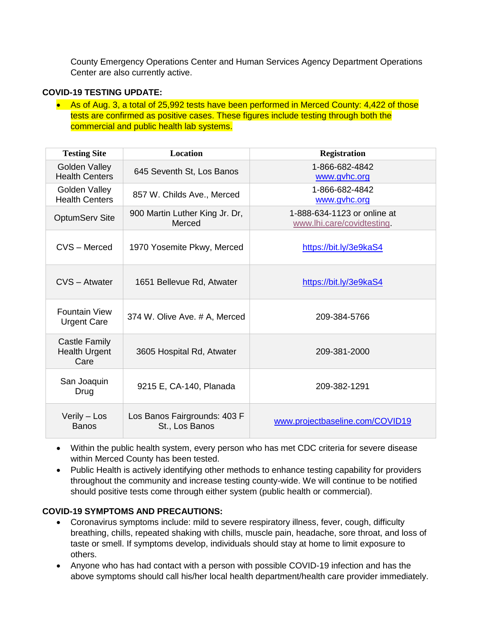County Emergency Operations Center and Human Services Agency Department Operations Center are also currently active.

#### **COVID-19 TESTING UPDATE:**

• As of Aug. 3, a total of 25,992 tests have been performed in Merced County: 4,422 of those tests are confirmed as positive cases. These figures include testing through both the commercial and public health lab systems.

| <b>Testing Site</b>                                  | <b>Location</b>                                | <b>Registration</b>                                       |
|------------------------------------------------------|------------------------------------------------|-----------------------------------------------------------|
| Golden Valley<br><b>Health Centers</b>               | 645 Seventh St, Los Banos                      | 1-866-682-4842<br>www.gvhc.org                            |
| Golden Valley<br><b>Health Centers</b>               | 857 W. Childs Ave., Merced                     | 1-866-682-4842<br>www.gvhc.org                            |
| <b>OptumServ Site</b>                                | 900 Martin Luther King Jr. Dr,<br>Merced       | 1-888-634-1123 or online at<br>www.lhi.care/covidtesting. |
| CVS - Merced                                         | 1970 Yosemite Pkwy, Merced                     | https://bit.ly/3e9kaS4                                    |
| CVS - Atwater                                        | 1651 Bellevue Rd, Atwater                      | https://bit.ly/3e9kaS4                                    |
| <b>Fountain View</b><br><b>Urgent Care</b>           | 374 W. Olive Ave. # A, Merced                  | 209-384-5766                                              |
| <b>Castle Family</b><br><b>Health Urgent</b><br>Care | 3605 Hospital Rd, Atwater                      | 209-381-2000                                              |
| San Joaquin<br>Drug                                  | 9215 E, CA-140, Planada                        | 209-382-1291                                              |
| Verily - Los<br><b>Banos</b>                         | Los Banos Fairgrounds: 403 F<br>St., Los Banos | www.projectbaseline.com/COVID19                           |

- Within the public health system, every person who has met CDC criteria for severe disease within Merced County has been tested.
- Public Health is actively identifying other methods to enhance testing capability for providers throughout the community and increase testing county-wide. We will continue to be notified should positive tests come through either system (public health or commercial).

## **COVID-19 SYMPTOMS AND PRECAUTIONS:**

- Coronavirus symptoms include: mild to severe respiratory illness, fever, cough, difficulty breathing, chills, repeated shaking with chills, muscle pain, headache, sore throat, and loss of taste or smell. If symptoms develop, individuals should stay at home to limit exposure to others.
- Anyone who has had contact with a person with possible COVID-19 infection and has the above symptoms should call his/her local health department/health care provider immediately.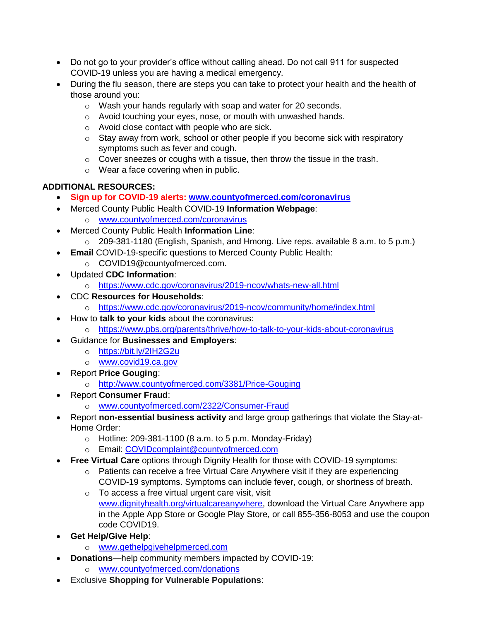- Do not go to your provider's office without calling ahead. Do not call 911 for suspected COVID-19 unless you are having a medical emergency.
- During the flu season, there are steps you can take to protect your health and the health of those around you:
	- o Wash your hands regularly with soap and water for 20 seconds.
	- o Avoid touching your eyes, nose, or mouth with unwashed hands.
	- o Avoid close contact with people who are sick.
	- o Stay away from work, school or other people if you become sick with respiratory symptoms such as fever and cough.
	- o Cover sneezes or coughs with a tissue, then throw the tissue in the trash.
	- o Wear a face covering when in public.

# **ADDITIONAL RESOURCES:**

- **Sign up for COVID-19 alerts: [www.countyofmerced.com/coronavirus](http://www.countyofmerced.com/coronavirus)**
- Merced County Public Health COVID-19 **Information Webpage**: o [www.countyofmerced.com/coronavirus](http://www.countyofmerced.com/coronavirus)
- Merced County Public Health **Information Line**:
	- o 209-381-1180 (English, Spanish, and Hmong. Live reps. available 8 a.m. to 5 p.m.)
- **Email** COVID-19-specific questions to Merced County Public Health:
	- o COVID19@countyofmerced.com.
- Updated **CDC Information**:
	- o <https://www.cdc.gov/coronavirus/2019-ncov/whats-new-all.html>
- CDC **Resources for Households**:
	- o <https://www.cdc.gov/coronavirus/2019-ncov/community/home/index.html>
- How to **talk to your kids** about the coronavirus:
	- o <https://www.pbs.org/parents/thrive/how-to-talk-to-your-kids-about-coronavirus>
- Guidance for **Businesses and Employers**:
	- o <https://bit.ly/2IH2G2u>
	- o [www.covid19.ca.gov](http://www.covid19.ca.gov/)
- Report **Price Gouging**:
	- o <http://www.countyofmerced.com/3381/Price-Gouging>
- Report **Consumer Fraud**:
	- o [www.countyofmerced.com/2322/Consumer-Fraud](http://www.countyofmerced.com/2322/Consumer-Fraud)
- Report **non-essential business activity** and large group gatherings that violate the Stay-at-Home Order:
	- $\circ$  Hotline: 209-381-1100 (8 a.m. to 5 p.m. Monday-Friday)
	- o Email: [COVIDcomplaint@countyofmerced.com](mailto:COVIDcomplaint@countyofmerced.com)
- **Free Virtual Care** options through Dignity Health for those with COVID-19 symptoms:
	- o Patients can receive a free Virtual Care Anywhere visit if they are experiencing COVID-19 symptoms. Symptoms can include fever, cough, or shortness of breath.
	- o To access a free virtual urgent care visit, visit [www.dignityhealth.org/virtualcareanywhere,](http://www.dignityhealth.org/virtualcareanywhere) download the Virtual Care Anywhere app in the Apple App Store or Google Play Store, or call 855-356-8053 and use the coupon code COVID19.
- **Get Help/Give Help**:
	- o [www.gethelpgivehelpmerced.com](http://www.gethelpgivehelpmerced.com/)
- **Donations**—help community members impacted by COVID-19:
	- o [www.countyofmerced.com/donations](http://www.countyofmerced.com/donations)
- Exclusive **Shopping for Vulnerable Populations**: